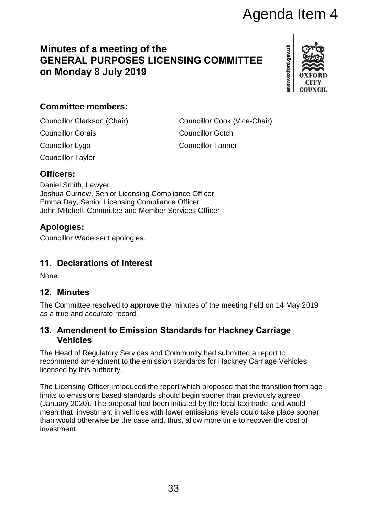# **Minutes of a meeting of the GENERAL PURPOSES LICENSING COMMITTEE on Monday 8 July 2019**



# **Committee members:**

Councillor Clarkson (Chair) Councillor Cook (Vice-Chair) Councillor Corais Councillor Gotch

Councillor Lygo Councillor Tanner

Councillor Taylor

## **Officers:**

Daniel Smith, Lawyer Joshua Curnow, Senior Licensing Compliance Officer Emma Day, Senior Licensing Compliance Officer John Mitchell, Committee and Member Services Officer

## **Apologies:**

Councillor Wade sent apologies.

# **11. Declarations of Interest**

None.

#### **12. Minutes**

The Committee resolved to **approve** the minutes of the meeting held on 14 May 2019 as a true and accurate record.

#### **13. Amendment to Emission Standards for Hackney Carriage Vehicles**

The Head of Regulatory Services and Community had submitted a report to recommend amendment to the emission standards for Hackney Carriage Vehicles licensed by this authority.

The Licensing Officer introduced the report which proposed that the transition from age limits to emissions based standards should begin sooner than previously agreed (January 2020). The proposal had been initiated by the local taxi trade and would mean that investment in vehicles with lower emissions levels could take place sooner than would otherwise be the case and, thus, allow more time to recover the cost of investment. Agenda Item 4<br>
SING COMMITTEE<br>
ISSNAGE COMMITTEE<br>
SING COMMITTEE<br>
SING COMMITTEE<br>
COUNCILION COOK (Vice-Chair)<br>
Councillor Cook (Vice-Chair)<br>
Councillor Cook (Vice-Chair)<br>
Councillor Cook (Vice-Chair)<br>
Councillor Cook (Vic